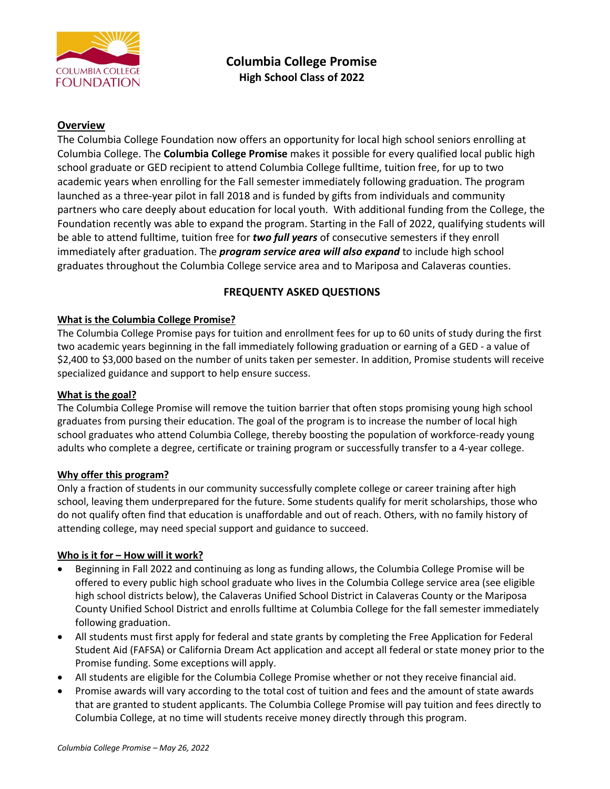

# **Overview**

The Columbia College Foundation now offers an opportunity for local high school seniors enrolling at Columbia College. The **Columbia College Promise** makes it possible for every qualified local public high school graduate or GED recipient to attend Columbia College fulltime, tuition free, for up to two academic years when enrolling for the Fall semester immediately following graduation. The program launched as a three-year pilot in fall 2018 and is funded by gifts from individuals and community partners who care deeply about education for local youth. With additional funding from the College, the Foundation recently was able to expand the program. Starting in the Fall of 2022, qualifying students will be able to attend fulltime, tuition free for *two full years* of consecutive semesters if they enroll immediately after graduation. The *program service area will also expand* to include high school graduates throughout the Columbia College service area and to Mariposa and Calaveras counties.

# **FREQUENTY ASKED QUESTIONS**

### **What is the Columbia College Promise?**

The Columbia College Promise pays for tuition and enrollment fees for up to 60 units of study during the first two academic years beginning in the fall immediately following graduation or earning of a GED - a value of \$2,400 to \$3,000 based on the number of units taken per semester. In addition, Promise students will receive specialized guidance and support to help ensure success.

#### **What is the goal?**

The Columbia College Promise will remove the tuition barrier that often stops promising young high school graduates from pursing their education. The goal of the program is to increase the number of local high school graduates who attend Columbia College, thereby boosting the population of workforce-ready young adults who complete a degree, certificate or training program or successfully transfer to a 4-year college.

#### **Why offer this program?**

Only a fraction of students in our community successfully complete college or career training after high school, leaving them underprepared for the future. Some students qualify for merit scholarships, those who do not qualify often find that education is unaffordable and out of reach. Others, with no family history of attending college, may need special support and guidance to succeed.

#### **Who is it for – How will it work?**

- Beginning in Fall 2022 and continuing as long as funding allows, the Columbia College Promise will be offered to every public high school graduate who lives in the Columbia College service area (see eligible high school districts below), the Calaveras Unified School District in Calaveras County or the Mariposa County Unified School District and enrolls fulltime at Columbia College for the fall semester immediately following graduation.
- All students must first apply for federal and state grants by completing the Free Application for Federal Student Aid (FAFSA) or California Dream Act application and accept all federal or state money prior to the Promise funding. Some exceptions will apply.
- All students are eligible for the Columbia College Promise whether or not they receive financial aid.
- Promise awards will vary according to the total cost of tuition and fees and the amount of state awards that are granted to student applicants. The Columbia College Promise will pay tuition and fees directly to Columbia College, at no time will students receive money directly through this program.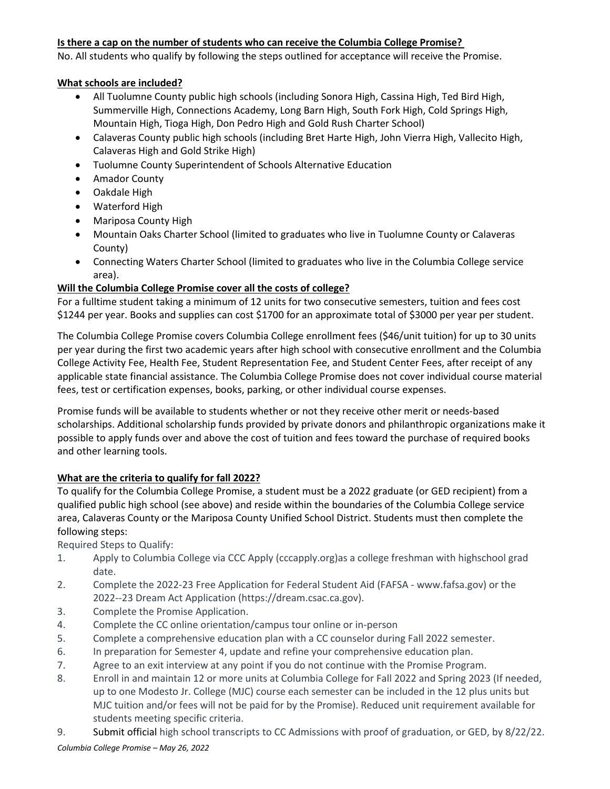### **Is there a cap on the number of students who can receive the Columbia College Promise?**

No. All students who qualify by following the steps outlined for acceptance will receive the Promise.

### **What schools are included?**

- All Tuolumne County public high schools (including Sonora High, Cassina High, Ted Bird High, Summerville High, Connections Academy, Long Barn High, South Fork High, Cold Springs High, Mountain High, Tioga High, Don Pedro High and Gold Rush Charter School)
- Calaveras County public high schools (including Bret Harte High, John Vierra High, Vallecito High, Calaveras High and Gold Strike High)
- Tuolumne County Superintendent of Schools Alternative Education
- Amador County
- Oakdale High
- Waterford High
- Mariposa County High
- Mountain Oaks Charter School (limited to graduates who live in Tuolumne County or Calaveras County)
- Connecting Waters Charter School (limited to graduates who live in the Columbia College service area).

# **Will the Columbia College Promise cover all the costs of college?**

For a fulltime student taking a minimum of 12 units for two consecutive semesters, tuition and fees cost \$1244 per year. Books and supplies can cost \$1700 for an approximate total of \$3000 per year per student.

The Columbia College Promise covers Columbia College enrollment fees (\$46/unit tuition) for up to 30 units per year during the first two academic years after high school with consecutive enrollment and the Columbia College Activity Fee, Health Fee, Student Representation Fee, and Student Center Fees, after receipt of any applicable state financial assistance. The Columbia College Promise does not cover individual course material fees, test or certification expenses, books, parking, or other individual course expenses.

Promise funds will be available to students whether or not they receive other merit or needs-based scholarships. Additional scholarship funds provided by private donors and philanthropic organizations make it possible to apply funds over and above the cost of tuition and fees toward the purchase of required books and other learning tools.

# **What are the criteria to qualify for fall 2022?**

To qualify for the Columbia College Promise, a student must be a 2022 graduate (or GED recipient) from a qualified public high school (see above) and reside within the boundaries of the Columbia College service area, Calaveras County or the Mariposa County Unified School District. Students must then complete the following steps:

Required Steps to Qualify:

- 1. Apply to Columbia College via CCC Apply (cccapply.org)as a college freshman with highschool grad date.
- 2. Complete the 2022-23 Free Application for Federal Student Aid (FAFSA www.fafsa.gov) or the 2022--23 Dream Act Application (https://dream.csac.ca.gov).
- 3. Complete the Promise Application.
- 4. Complete the CC online orientation/campus tour online or in-person
- 5. Complete a comprehensive education plan with a CC counselor during Fall 2022 semester.
- 6. In preparation for Semester 4, update and refine your comprehensive education plan.
- 7. Agree to an exit interview at any point if you do not continue with the Promise Program.
- 8. Enroll in and maintain 12 or more units at Columbia College for Fall 2022 and Spring 2023 (If needed, up to one Modesto Jr. College (MJC) course each semester can be included in the 12 plus units but MJC tuition and/or fees will not be paid for by the Promise). Reduced unit requirement available for students meeting specific criteria.
- 9. Submit official high school transcripts to CC Admissions with proof of graduation, or GED, by 8/22/22.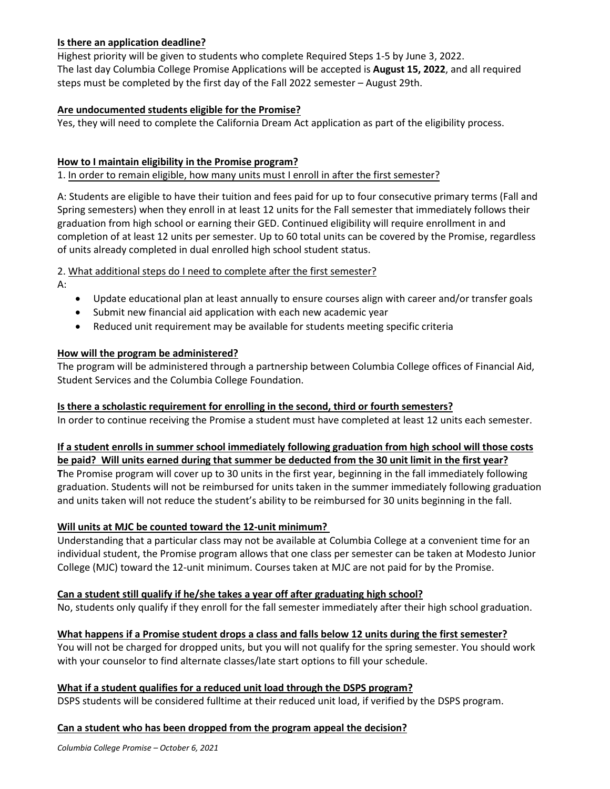### **Is there an application deadline?**

Highest priority will be given to students who complete Required Steps 1-5 by June 3, 2022. The last day Columbia College Promise Applications will be accepted is **August 15, 2022**, and all required steps must be completed by the first day of the Fall 2022 semester – August 29th.

### **Are undocumented students eligible for the Promise?**

Yes, they will need to complete the California Dream Act application as part of the eligibility process.

### **How to I maintain eligibility in the Promise program?**

1. In order to remain eligible, how many units must I enroll in after the first semester?

A: Students are eligible to have their tuition and fees paid for up to four consecutive primary terms (Fall and Spring semesters) when they enroll in at least 12 units for the Fall semester that immediately follows their graduation from high school or earning their GED. Continued eligibility will require enrollment in and completion of at least 12 units per semester. Up to 60 total units can be covered by the Promise, regardless of units already completed in dual enrolled high school student status.

2. What additional steps do I need to complete after the first semester?

A:

- Update educational plan at least annually to ensure courses align with career and/or transfer goals
- Submit new financial aid application with each new academic year
- Reduced unit requirement may be available for students meeting specific criteria

### **How will the program be administered?**

The program will be administered through a partnership between Columbia College offices of Financial Aid, Student Services and the Columbia College Foundation.

# **Is there a scholastic requirement for enrolling in the second, third or fourth semesters?**

In order to continue receiving the Promise a student must have completed at least 12 units each semester.

# **If a student enrolls in summer school immediately following graduation from high school will those costs be paid? Will units earned during that summer be deducted from the 30 unit limit in the first year?**

**T**he Promise program will cover up to 30 units in the first year, beginning in the fall immediately following graduation. Students will not be reimbursed for units taken in the summer immediately following graduation and units taken will not reduce the student's ability to be reimbursed for 30 units beginning in the fall.

# **Will units at MJC be counted toward the 12-unit minimum?**

Understanding that a particular class may not be available at Columbia College at a convenient time for an individual student, the Promise program allows that one class per semester can be taken at Modesto Junior College (MJC) toward the 12-unit minimum. Courses taken at MJC are not paid for by the Promise.

# **Can a student still qualify if he/she takes a year off after graduating high school?**

No, students only qualify if they enroll for the fall semester immediately after their high school graduation.

#### **What happens if a Promise student drops a class and falls below 12 units during the first semester?**

You will not be charged for dropped units, but you will not qualify for the spring semester. You should work with your counselor to find alternate classes/late start options to fill your schedule.

# **What if a student qualifies for a reduced unit load through the DSPS program?**

DSPS students will be considered fulltime at their reduced unit load, if verified by the DSPS program.

#### **Can a student who has been dropped from the program appeal the decision?**